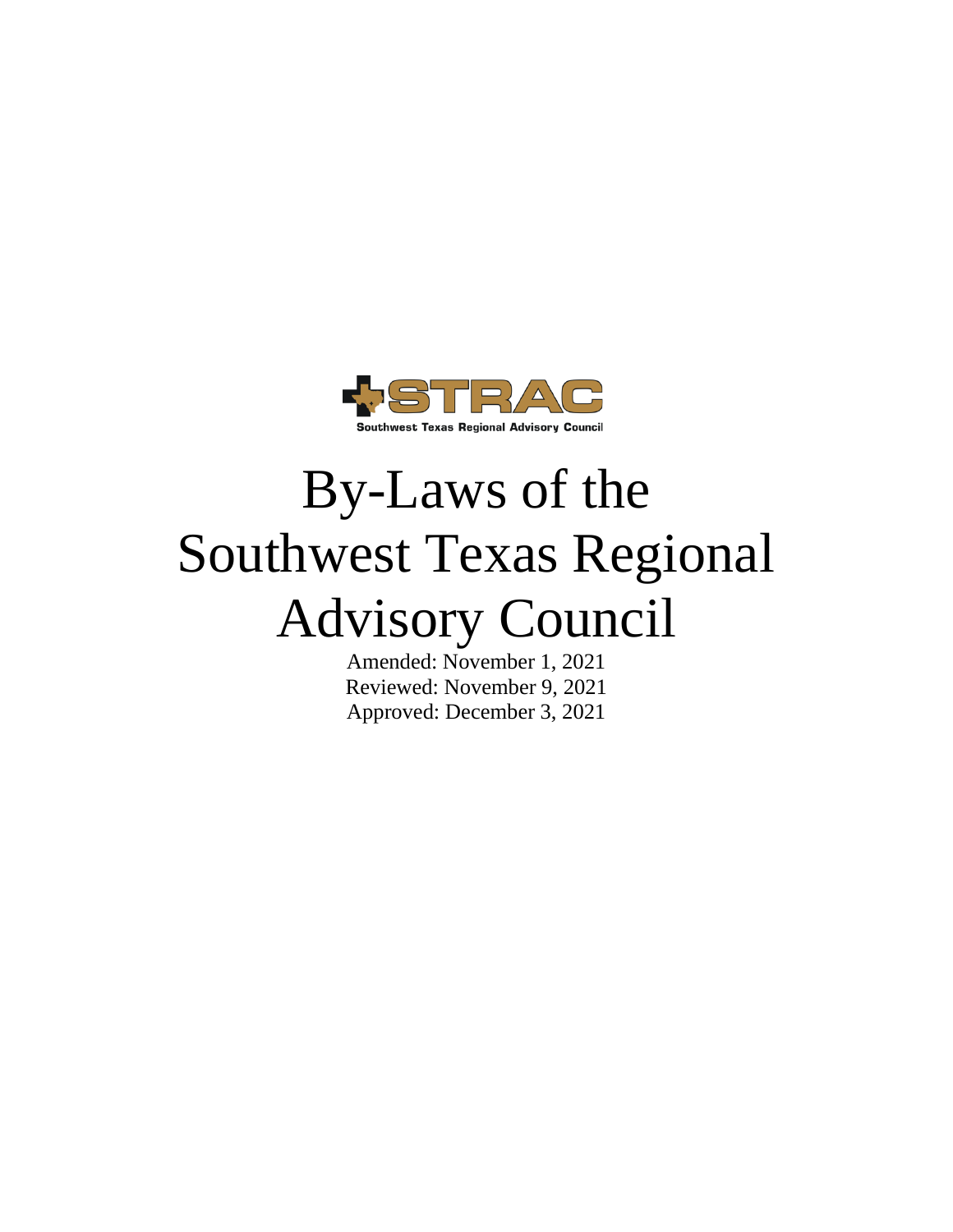

# By-Laws of the Southwest Texas Regional Advisory Council

Amended: November 1, 2021 Reviewed: November 9, 2021 Approved: December 3, 2021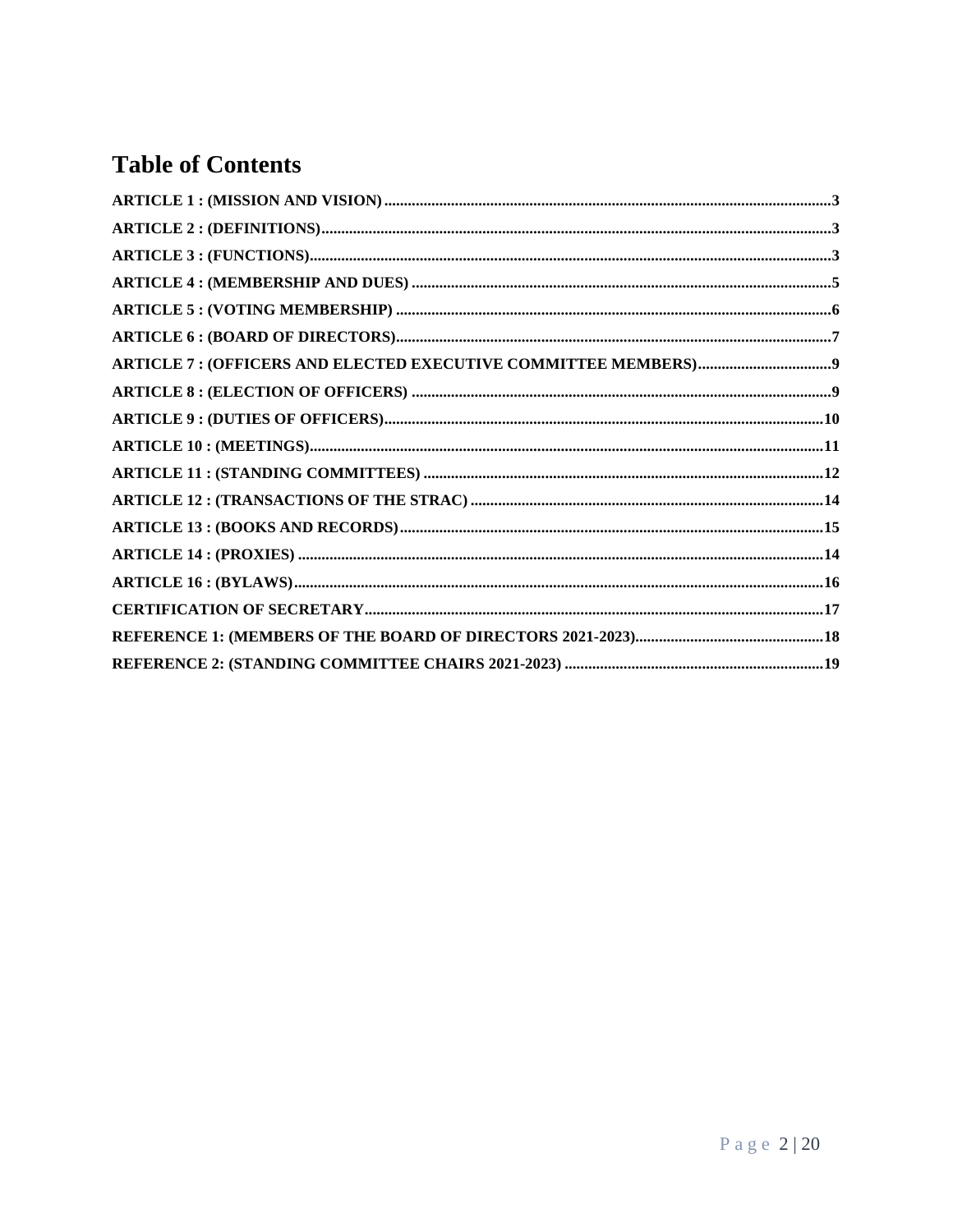# **Table of Contents**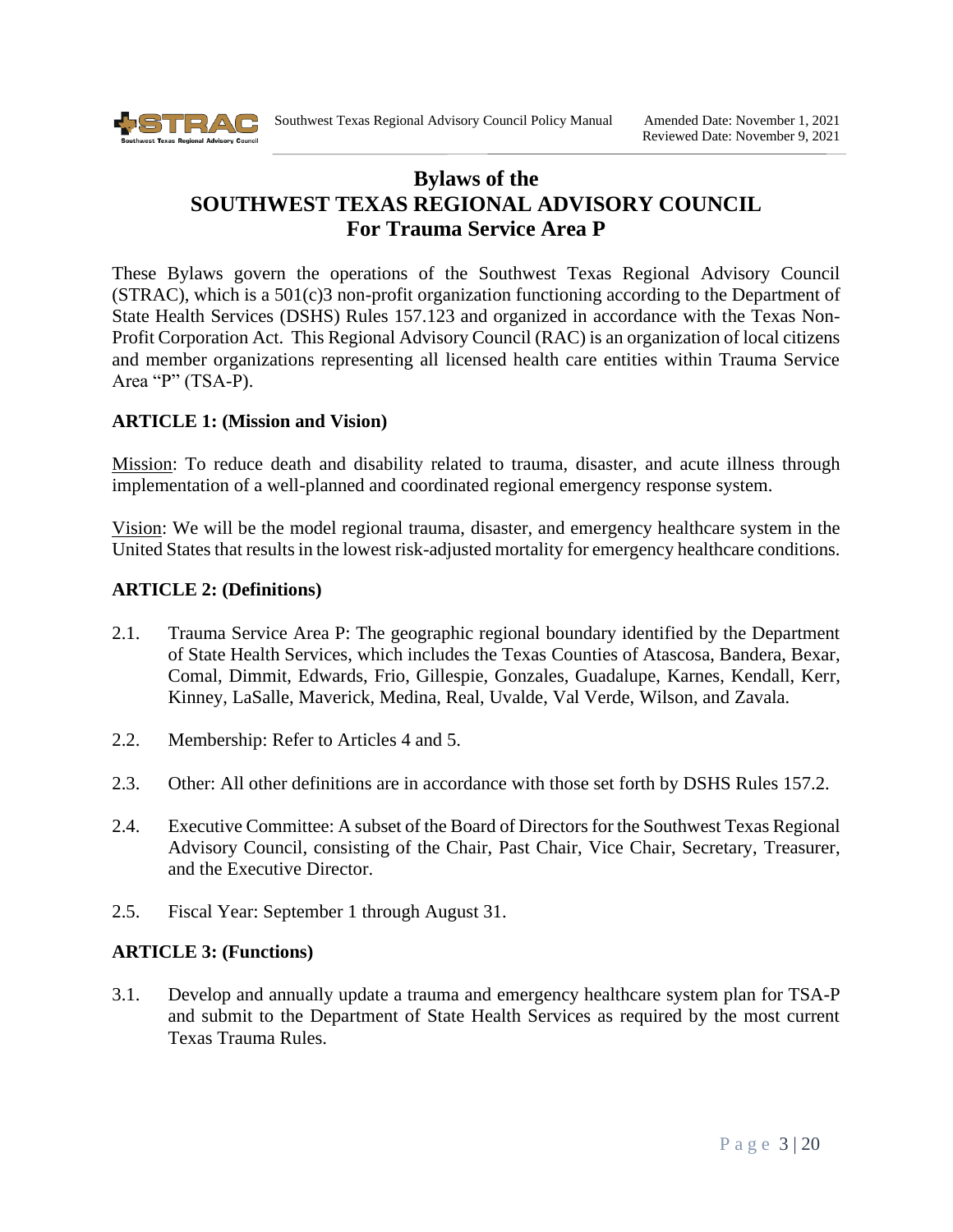

# **Bylaws of the SOUTHWEST TEXAS REGIONAL ADVISORY COUNCIL For Trauma Service Area P**

These Bylaws govern the operations of the Southwest Texas Regional Advisory Council  $(STRAC)$ , which is a 501 $(c)$ 3 non-profit organization functioning according to the Department of State Health Services (DSHS) Rules 157.123 and organized in accordance with the Texas Non-Profit Corporation Act. This Regional Advisory Council (RAC) is an organization of local citizens and member organizations representing all licensed health care entities within Trauma Service Area "P" (TSA-P).

#### <span id="page-2-0"></span>**ARTICLE 1: (Mission and Vision)**

Mission: To reduce death and disability related to trauma, disaster, and acute illness through implementation of a well-planned and coordinated regional emergency response system.

Vision: We will be the model regional trauma, disaster, and emergency healthcare system in the United States that results in the lowest risk-adjusted mortality for emergency healthcare conditions.

#### <span id="page-2-1"></span>**ARTICLE 2: (Definitions)**

- 2.1. Trauma Service Area P: The geographic regional boundary identified by the Department of State Health Services, which includes the Texas Counties of Atascosa, Bandera, Bexar, Comal, Dimmit, Edwards, Frio, Gillespie, Gonzales, Guadalupe, Karnes, Kendall, Kerr, Kinney, LaSalle, Maverick, Medina, Real, Uvalde, Val Verde, Wilson, and Zavala.
- 2.2. Membership: Refer to Articles 4 and 5.
- 2.3. Other: All other definitions are in accordance with those set forth by DSHS Rules 157.2.
- 2.4. Executive Committee: A subset of the Board of Directors for the Southwest Texas Regional Advisory Council, consisting of the Chair, Past Chair, Vice Chair, Secretary, Treasurer, and the Executive Director.
- <span id="page-2-2"></span>2.5. Fiscal Year: September 1 through August 31.

#### **ARTICLE 3: (Functions)**

3.1. Develop and annually update a trauma and emergency healthcare system plan for TSA-P and submit to the Department of State Health Services as required by the most current Texas Trauma Rules.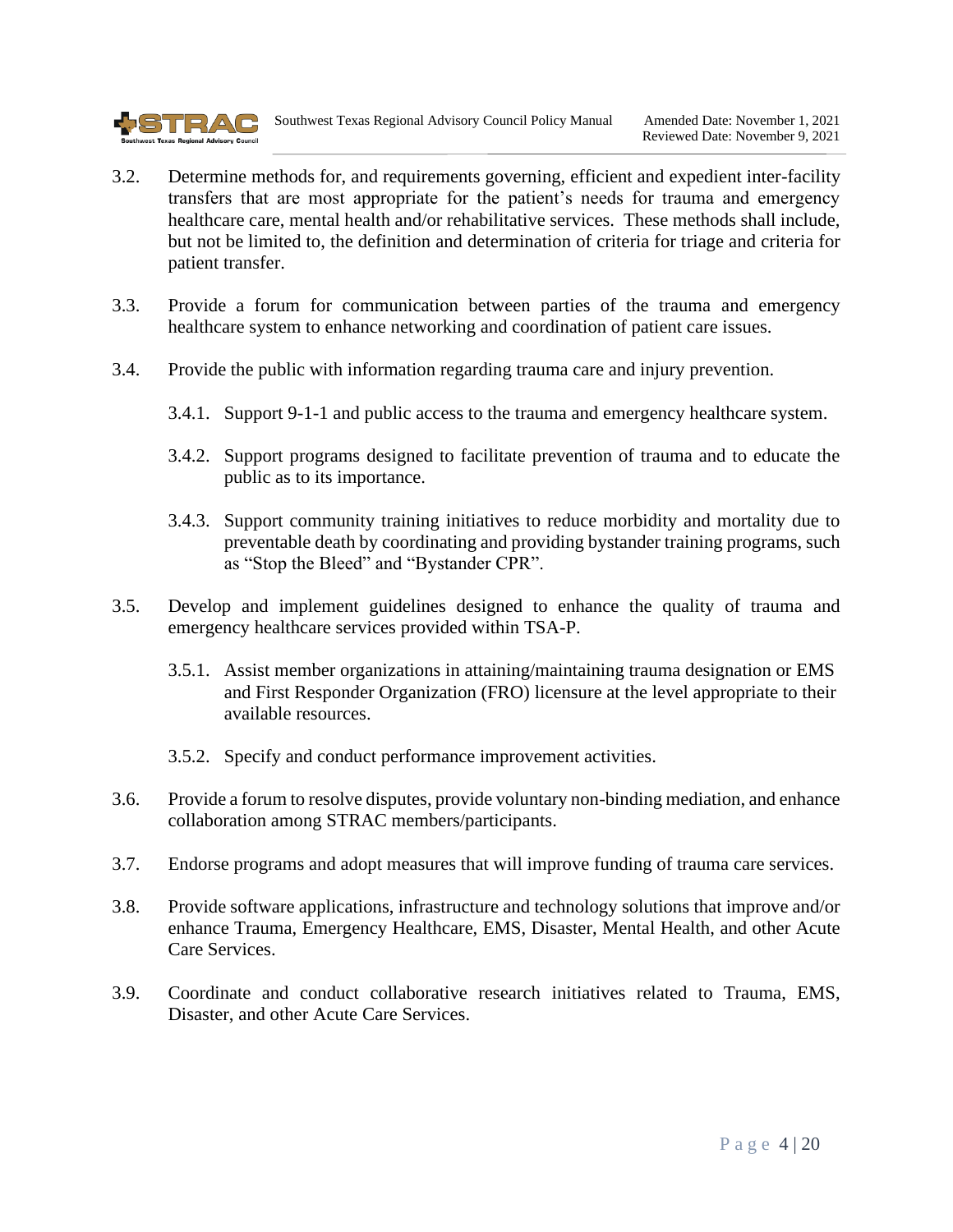

- 3.2. Determine methods for, and requirements governing, efficient and expedient inter-facility transfers that are most appropriate for the patient's needs for trauma and emergency healthcare care, mental health and/or rehabilitative services. These methods shall include, but not be limited to, the definition and determination of criteria for triage and criteria for patient transfer.
- 3.3. Provide a forum for communication between parties of the trauma and emergency healthcare system to enhance networking and coordination of patient care issues.
- 3.4. Provide the public with information regarding trauma care and injury prevention.
	- 3.4.1. Support 9-1-1 and public access to the trauma and emergency healthcare system.
	- 3.4.2. Support programs designed to facilitate prevention of trauma and to educate the public as to its importance.
	- 3.4.3. Support community training initiatives to reduce morbidity and mortality due to preventable death by coordinating and providing bystander training programs, such as "Stop the Bleed" and "Bystander CPR".
- 3.5. Develop and implement guidelines designed to enhance the quality of trauma and emergency healthcare services provided within TSA-P.
	- 3.5.1. Assist member organizations in attaining/maintaining trauma designation or EMS and First Responder Organization (FRO) licensure at the level appropriate to their available resources.
	- 3.5.2. Specify and conduct performance improvement activities.
- 3.6. Provide a forum to resolve disputes, provide voluntary non-binding mediation, and enhance collaboration among STRAC members/participants.
- 3.7. Endorse programs and adopt measures that will improve funding of trauma care services.
- 3.8. Provide software applications, infrastructure and technology solutions that improve and/or enhance Trauma, Emergency Healthcare, EMS, Disaster, Mental Health, and other Acute Care Services.
- 3.9. Coordinate and conduct collaborative research initiatives related to Trauma, EMS, Disaster, and other Acute Care Services.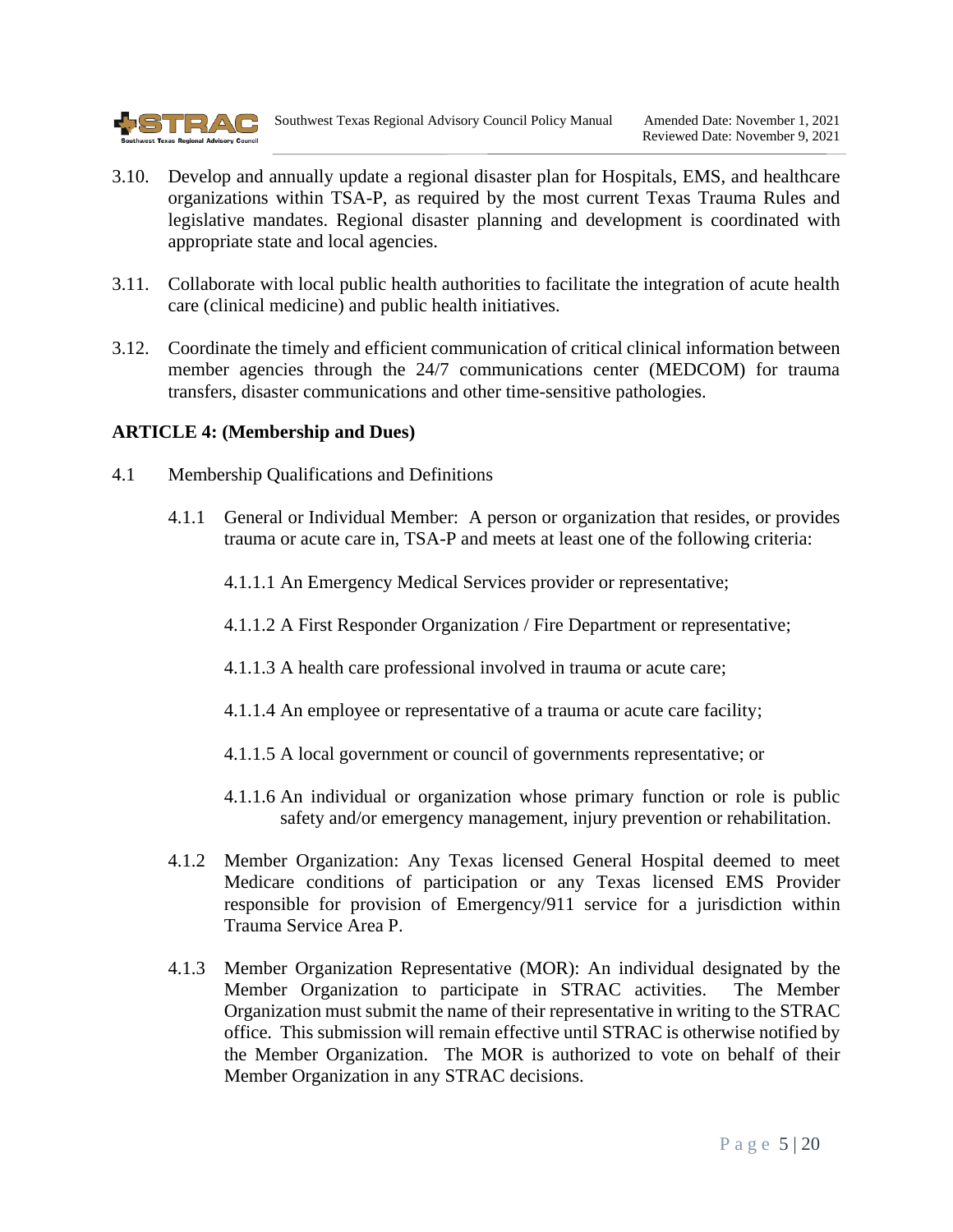

- 3.10. Develop and annually update a regional disaster plan for Hospitals, EMS, and healthcare organizations within TSA-P, as required by the most current Texas Trauma Rules and legislative mandates. Regional disaster planning and development is coordinated with appropriate state and local agencies.
- 3.11. Collaborate with local public health authorities to facilitate the integration of acute health care (clinical medicine) and public health initiatives.
- 3.12. Coordinate the timely and efficient communication of critical clinical information between member agencies through the 24/7 communications center (MEDCOM) for trauma transfers, disaster communications and other time-sensitive pathologies.

#### <span id="page-4-0"></span>**ARTICLE 4: (Membership and Dues)**

- 4.1 Membership Qualifications and Definitions
	- 4.1.1 General or Individual Member: A person or organization that resides, or provides trauma or acute care in, TSA-P and meets at least one of the following criteria:
		- 4.1.1.1 An Emergency Medical Services provider or representative;
		- 4.1.1.2 A First Responder Organization / Fire Department or representative;
		- 4.1.1.3 A health care professional involved in trauma or acute care;
		- 4.1.1.4 An employee or representative of a trauma or acute care facility;
		- 4.1.1.5 A local government or council of governments representative; or
		- 4.1.1.6 An individual or organization whose primary function or role is public safety and/or emergency management, injury prevention or rehabilitation.
	- 4.1.2 Member Organization: Any Texas licensed General Hospital deemed to meet Medicare conditions of participation or any Texas licensed EMS Provider responsible for provision of Emergency/911 service for a jurisdiction within Trauma Service Area P.
	- 4.1.3 Member Organization Representative (MOR): An individual designated by the Member Organization to participate in STRAC activities. The Member Organization must submit the name of their representative in writing to the STRAC office. This submission will remain effective until STRAC is otherwise notified by the Member Organization. The MOR is authorized to vote on behalf of their Member Organization in any STRAC decisions.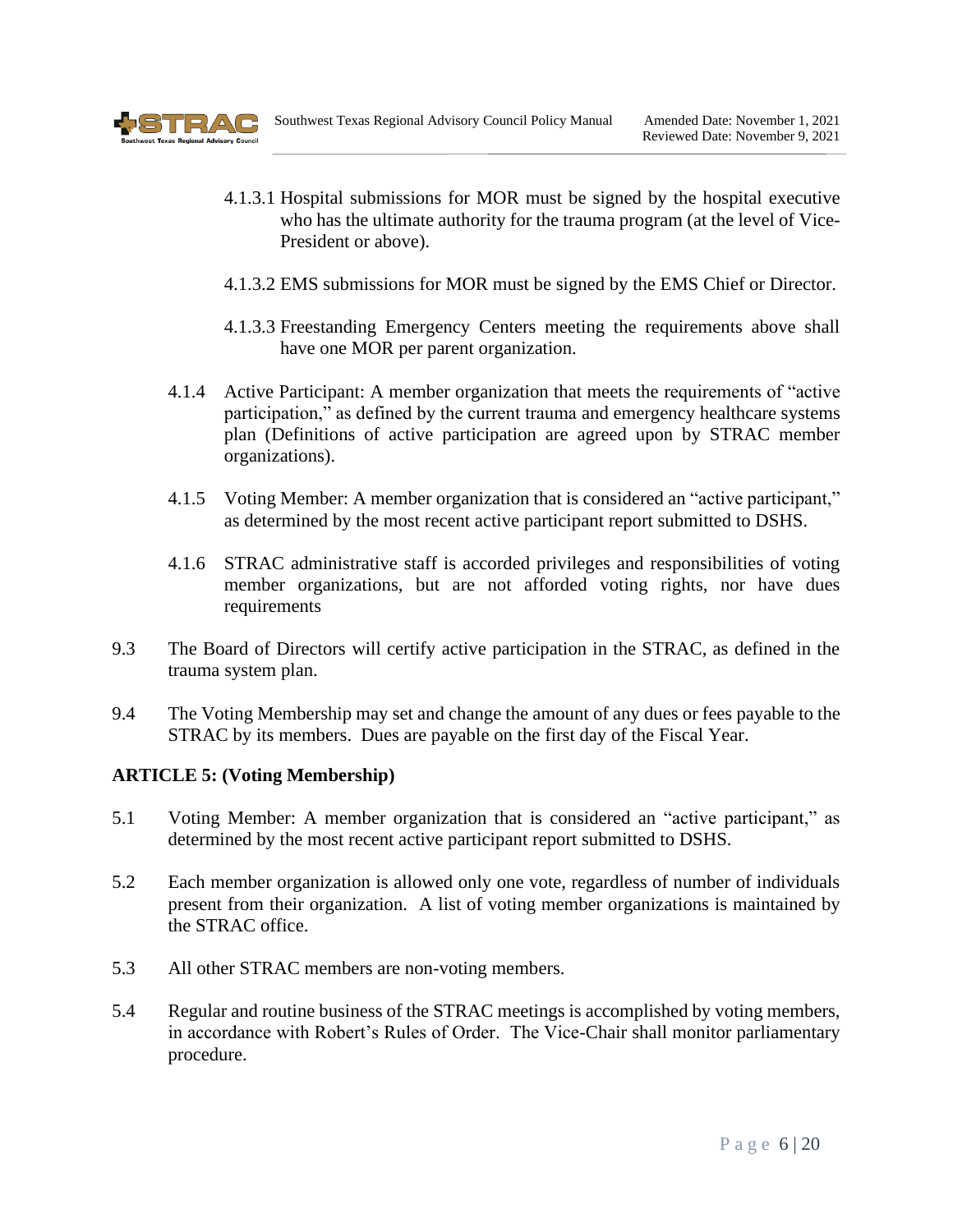

- 4.1.3.1 Hospital submissions for MOR must be signed by the hospital executive who has the ultimate authority for the trauma program (at the level of Vice-President or above).
- 4.1.3.2 EMS submissions for MOR must be signed by the EMS Chief or Director.
- 4.1.3.3 Freestanding Emergency Centers meeting the requirements above shall have one MOR per parent organization.
- 4.1.4 Active Participant: A member organization that meets the requirements of "active participation," as defined by the current trauma and emergency healthcare systems plan (Definitions of active participation are agreed upon by STRAC member organizations).
- 4.1.5 Voting Member: A member organization that is considered an "active participant," as determined by the most recent active participant report submitted to DSHS.
- 4.1.6 STRAC administrative staff is accorded privileges and responsibilities of voting member organizations, but are not afforded voting rights, nor have dues requirements
- 9.3 The Board of Directors will certify active participation in the STRAC, as defined in the trauma system plan.
- 9.4 The Voting Membership may set and change the amount of any dues or fees payable to the STRAC by its members. Dues are payable on the first day of the Fiscal Year.

#### <span id="page-5-0"></span>**ARTICLE 5: (Voting Membership)**

- 5.1 Voting Member: A member organization that is considered an "active participant," as determined by the most recent active participant report submitted to DSHS.
- 5.2 Each member organization is allowed only one vote, regardless of number of individuals present from their organization. A list of voting member organizations is maintained by the STRAC office.
- 5.3 All other STRAC members are non-voting members.
- 5.4 Regular and routine business of the STRAC meetings is accomplished by voting members, in accordance with Robert's Rules of Order. The Vice-Chair shall monitor parliamentary procedure.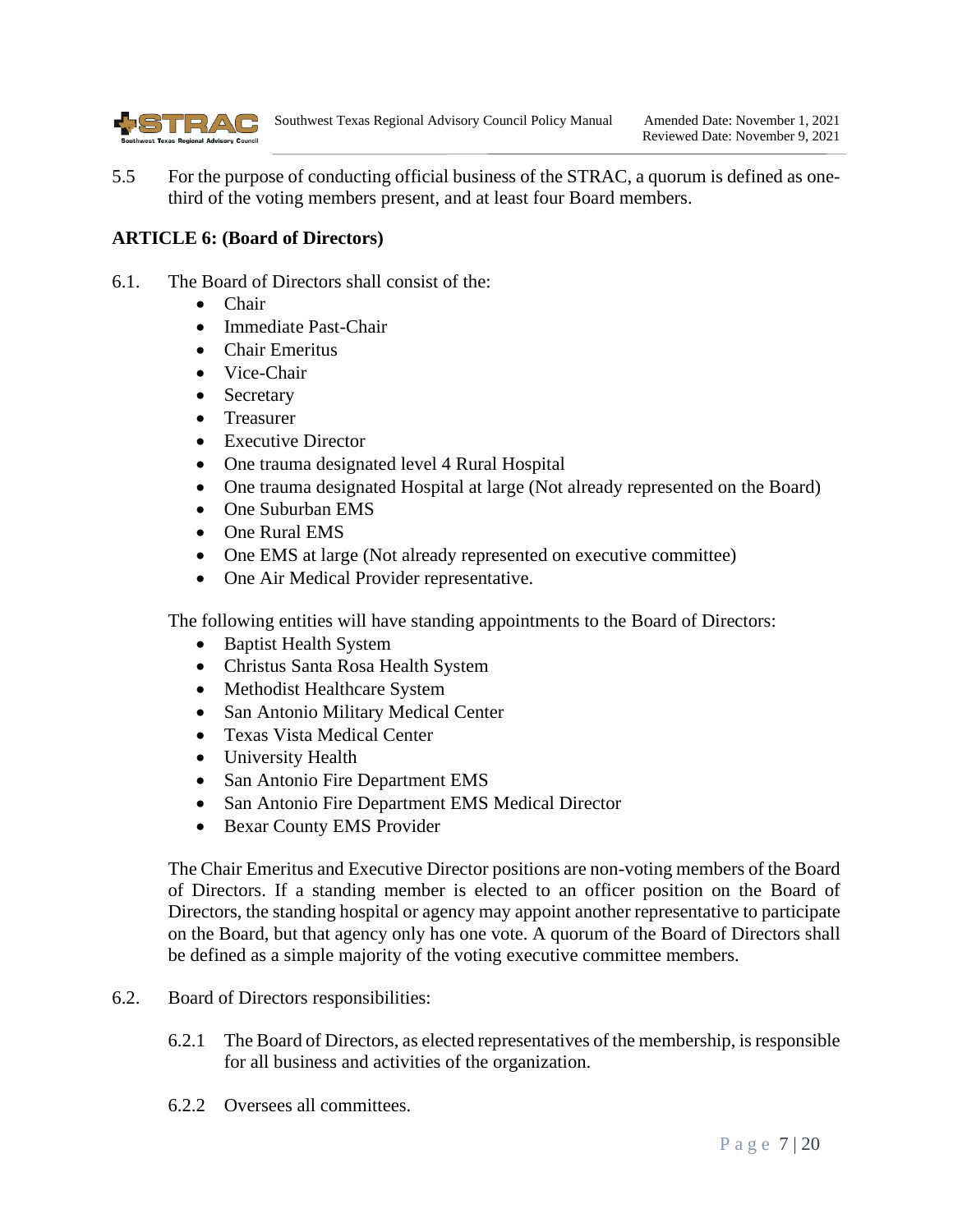

5.5 For the purpose of conducting official business of the STRAC, a quorum is defined as onethird of the voting members present, and at least four Board members.

#### <span id="page-6-0"></span>**ARTICLE 6: (Board of Directors)**

- 6.1. The Board of Directors shall consist of the:
	- Chair
	- Immediate Past-Chair
	- Chair Emeritus
	- Vice-Chair
	- Secretary
	- Treasurer
	- Executive Director
	- One trauma designated level 4 Rural Hospital
	- One trauma designated Hospital at large (Not already represented on the Board)
	- One Suburban EMS
	- One Rural EMS
	- One EMS at large (Not already represented on executive committee)
	- One Air Medical Provider representative.

The following entities will have standing appointments to the Board of Directors:

- Baptist Health System
- Christus Santa Rosa Health System
- Methodist Healthcare System
- San Antonio Military Medical Center
- Texas Vista Medical Center
- University Health
- San Antonio Fire Department EMS
- San Antonio Fire Department EMS Medical Director
- Bexar County EMS Provider

The Chair Emeritus and Executive Director positions are non-voting members of the Board of Directors. If a standing member is elected to an officer position on the Board of Directors, the standing hospital or agency may appoint another representative to participate on the Board, but that agency only has one vote. A quorum of the Board of Directors shall be defined as a simple majority of the voting executive committee members.

- 6.2. Board of Directors responsibilities:
	- 6.2.1 The Board of Directors, as elected representatives of the membership, is responsible for all business and activities of the organization.
	- 6.2.2 Oversees all committees.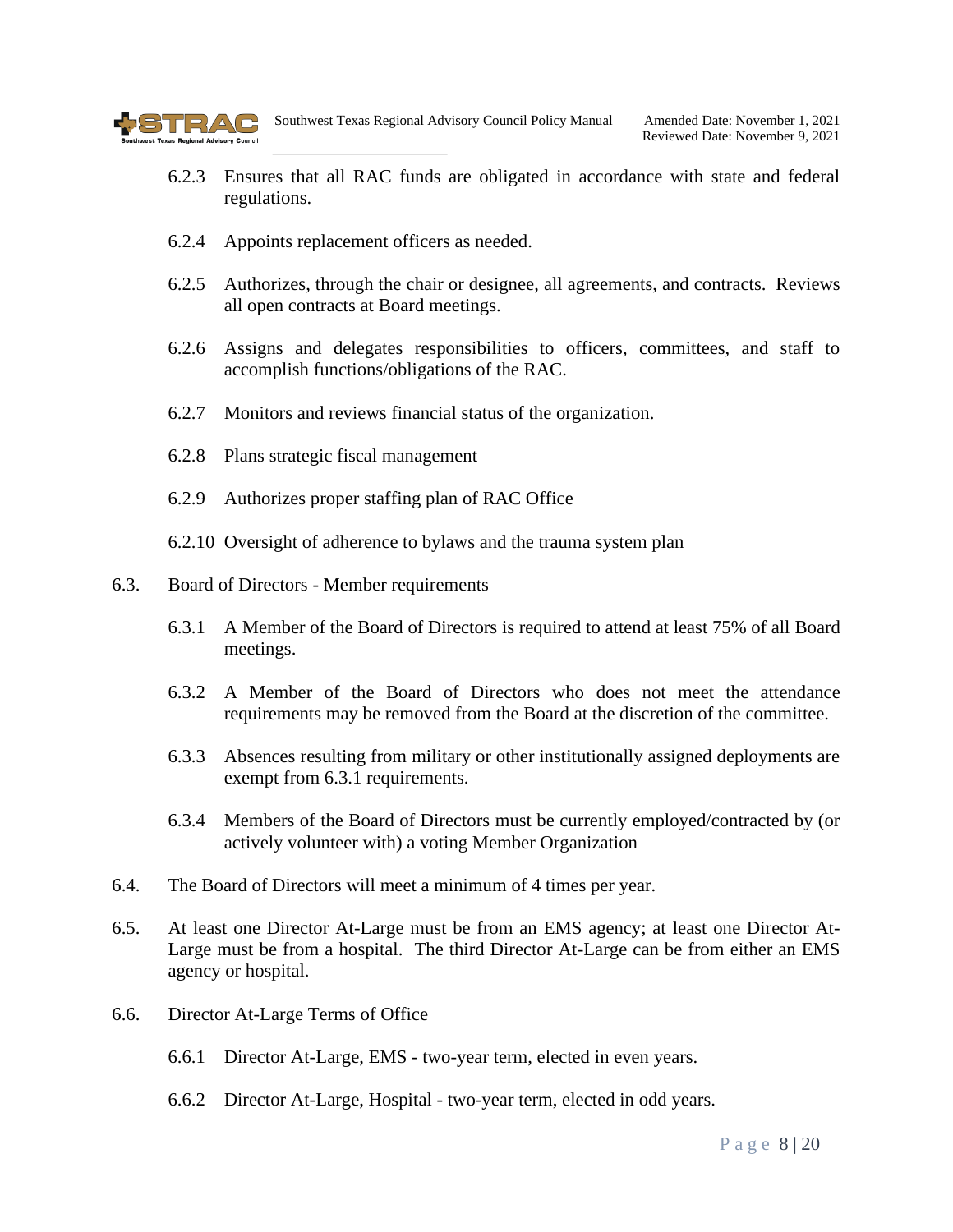

- 6.2.3 Ensures that all RAC funds are obligated in accordance with state and federal regulations.
- 6.2.4 Appoints replacement officers as needed.
- 6.2.5 Authorizes, through the chair or designee, all agreements, and contracts. Reviews all open contracts at Board meetings.
- 6.2.6 Assigns and delegates responsibilities to officers, committees, and staff to accomplish functions/obligations of the RAC.
- 6.2.7 Monitors and reviews financial status of the organization.
- 6.2.8 Plans strategic fiscal management
- 6.2.9 Authorizes proper staffing plan of RAC Office
- 6.2.10 Oversight of adherence to bylaws and the trauma system plan
- 6.3. Board of Directors Member requirements
	- 6.3.1 A Member of the Board of Directors is required to attend at least 75% of all Board meetings.
	- 6.3.2 A Member of the Board of Directors who does not meet the attendance requirements may be removed from the Board at the discretion of the committee.
	- 6.3.3 Absences resulting from military or other institutionally assigned deployments are exempt from 6.3.1 requirements.
	- 6.3.4 Members of the Board of Directors must be currently employed/contracted by (or actively volunteer with) a voting Member Organization
- 6.4. The Board of Directors will meet a minimum of 4 times per year.
- 6.5. At least one Director At-Large must be from an EMS agency; at least one Director At-Large must be from a hospital. The third Director At-Large can be from either an EMS agency or hospital.
- 6.6. Director At-Large Terms of Office
	- 6.6.1 Director At-Large, EMS two-year term, elected in even years.
	- 6.6.2 Director At-Large, Hospital two-year term, elected in odd years.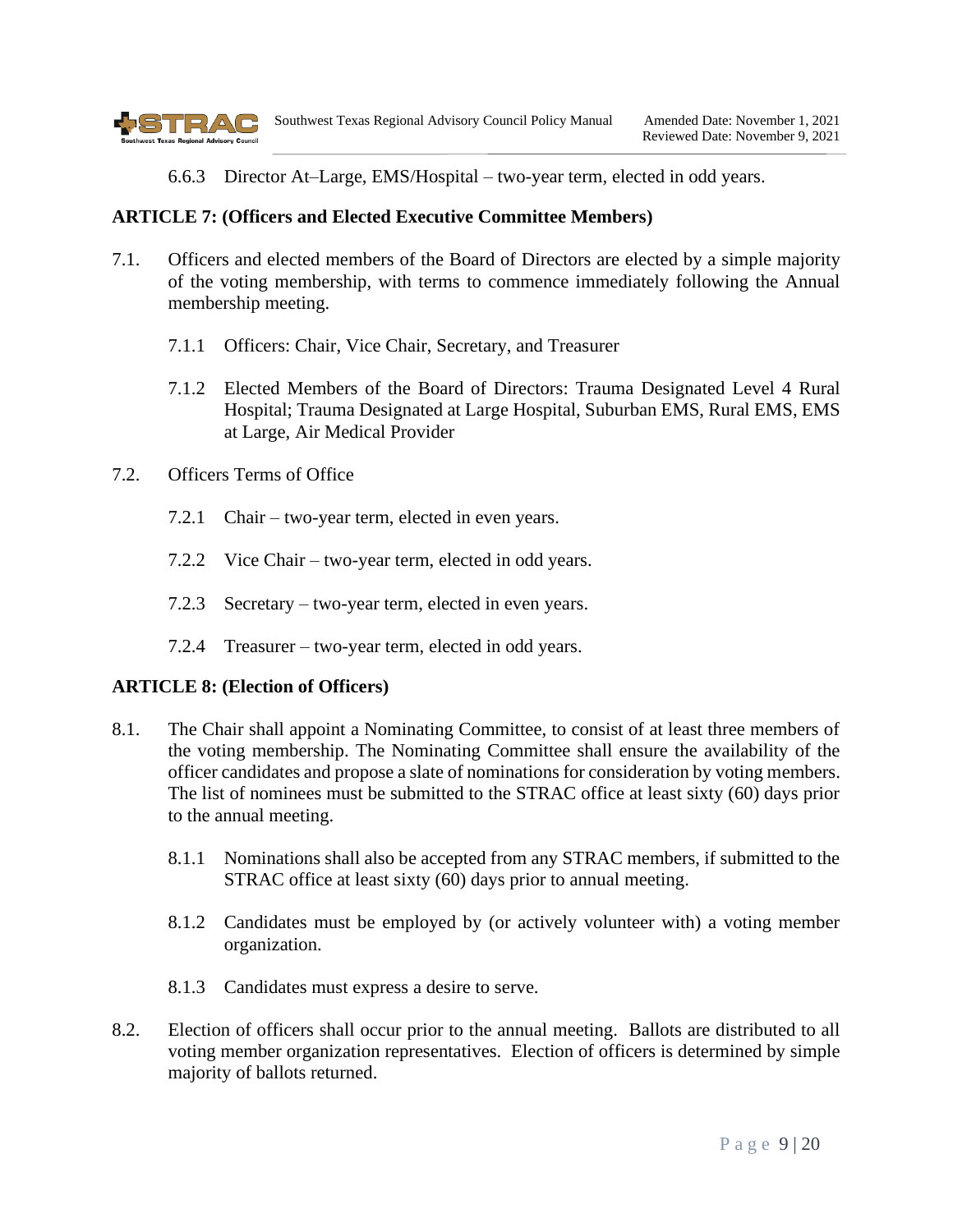

6.6.3 Director At–Large, EMS/Hospital – two-year term, elected in odd years.

#### <span id="page-8-0"></span>**ARTICLE 7: (Officers and Elected Executive Committee Members)**

- 7.1. Officers and elected members of the Board of Directors are elected by a simple majority of the voting membership, with terms to commence immediately following the Annual membership meeting.
	- 7.1.1 Officers: Chair, Vice Chair, Secretary, and Treasurer
	- 7.1.2 Elected Members of the Board of Directors: Trauma Designated Level 4 Rural Hospital; Trauma Designated at Large Hospital, Suburban EMS, Rural EMS, EMS at Large, Air Medical Provider
- 7.2. Officers Terms of Office
	- 7.2.1 Chair two-year term, elected in even years.
	- 7.2.2 Vice Chair two-year term, elected in odd years.
	- 7.2.3 Secretary two-year term, elected in even years.
	- 7.2.4 Treasurer two-year term, elected in odd years.

#### <span id="page-8-1"></span>**ARTICLE 8: (Election of Officers)**

- 8.1. The Chair shall appoint a Nominating Committee, to consist of at least three members of the voting membership. The Nominating Committee shall ensure the availability of the officer candidates and propose a slate of nominations for consideration by voting members. The list of nominees must be submitted to the STRAC office at least sixty (60) days prior to the annual meeting.
	- 8.1.1 Nominations shall also be accepted from any STRAC members, if submitted to the STRAC office at least sixty (60) days prior to annual meeting.
	- 8.1.2 Candidates must be employed by (or actively volunteer with) a voting member organization.
	- 8.1.3 Candidates must express a desire to serve.
- 8.2. Election of officers shall occur prior to the annual meeting. Ballots are distributed to all voting member organization representatives. Election of officers is determined by simple majority of ballots returned.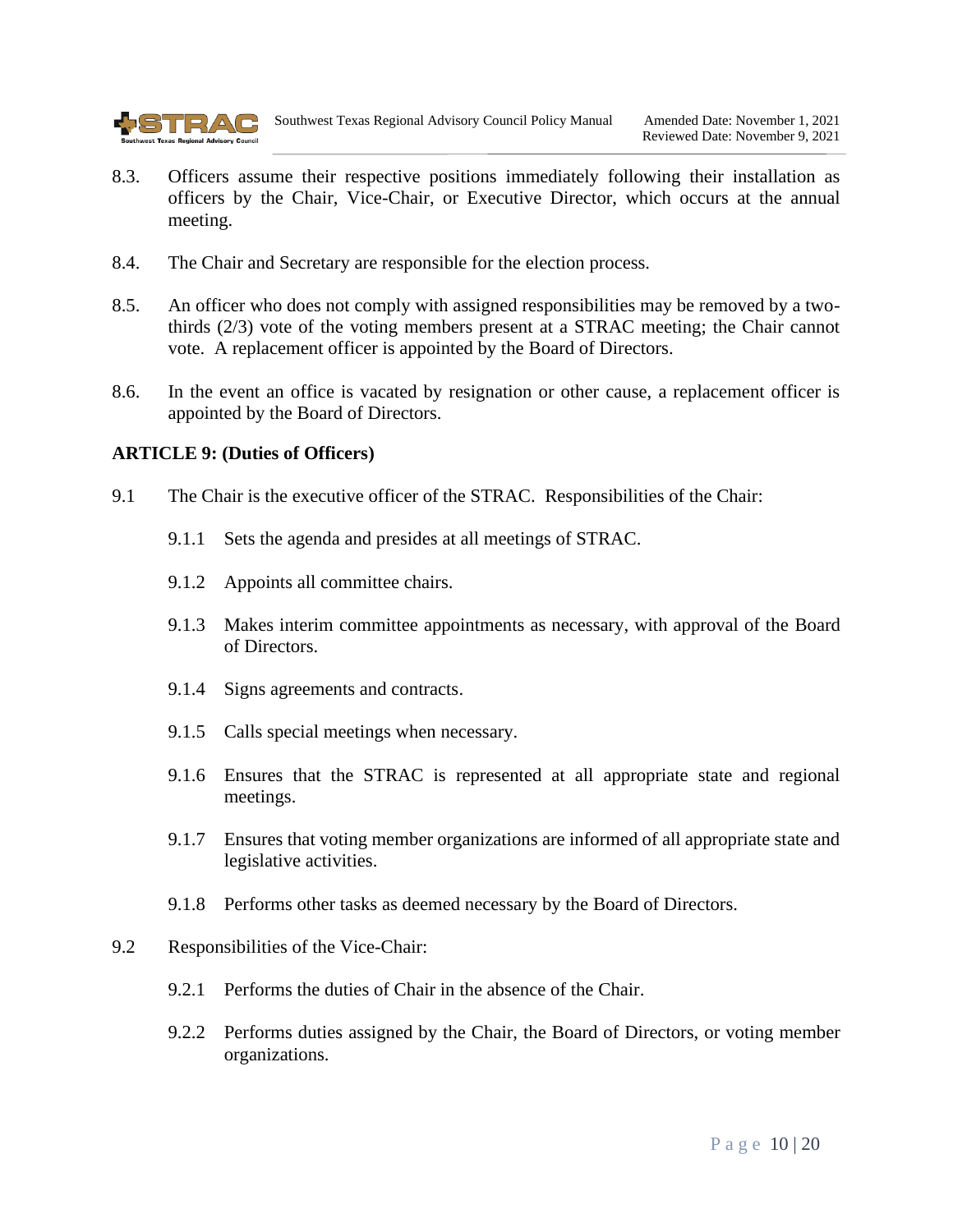

- 8.3. Officers assume their respective positions immediately following their installation as officers by the Chair, Vice-Chair, or Executive Director, which occurs at the annual meeting.
- 8.4. The Chair and Secretary are responsible for the election process.
- 8.5. An officer who does not comply with assigned responsibilities may be removed by a twothirds (2/3) vote of the voting members present at a STRAC meeting; the Chair cannot vote. A replacement officer is appointed by the Board of Directors.
- 8.6. In the event an office is vacated by resignation or other cause, a replacement officer is appointed by the Board of Directors.

#### <span id="page-9-0"></span>**ARTICLE 9: (Duties of Officers)**

- 9.1 The Chair is the executive officer of the STRAC. Responsibilities of the Chair:
	- 9.1.1 Sets the agenda and presides at all meetings of STRAC.
	- 9.1.2 Appoints all committee chairs.
	- 9.1.3 Makes interim committee appointments as necessary, with approval of the Board of Directors.
	- 9.1.4 Signs agreements and contracts.
	- 9.1.5 Calls special meetings when necessary.
	- 9.1.6 Ensures that the STRAC is represented at all appropriate state and regional meetings.
	- 9.1.7 Ensures that voting member organizations are informed of all appropriate state and legislative activities.
	- 9.1.8 Performs other tasks as deemed necessary by the Board of Directors.
- 9.2 Responsibilities of the Vice-Chair:
	- 9.2.1 Performs the duties of Chair in the absence of the Chair.
	- 9.2.2 Performs duties assigned by the Chair, the Board of Directors, or voting member organizations.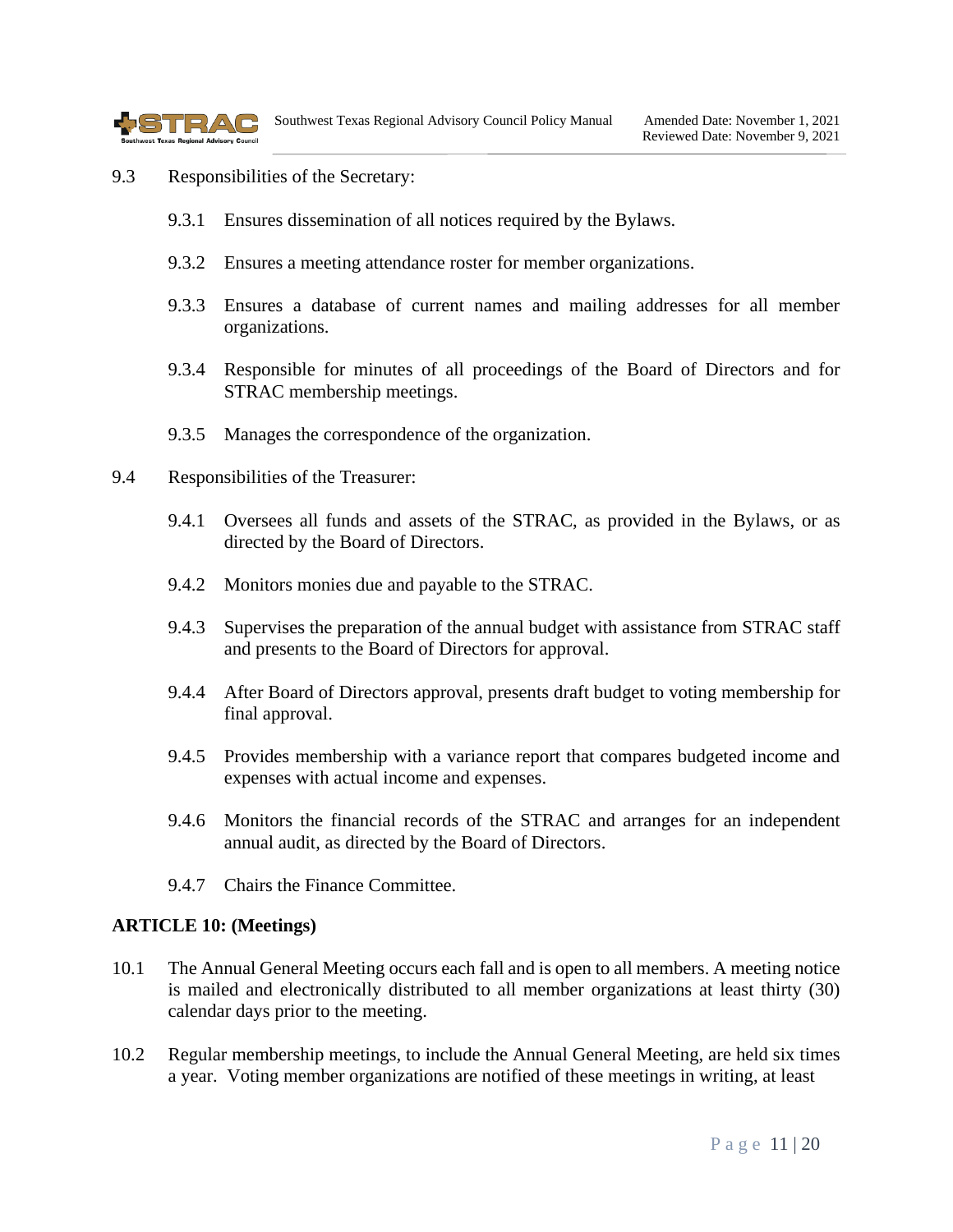

- 9.3 Responsibilities of the Secretary:
	- 9.3.1 Ensures dissemination of all notices required by the Bylaws.
	- 9.3.2 Ensures a meeting attendance roster for member organizations.
	- 9.3.3 Ensures a database of current names and mailing addresses for all member organizations.
	- 9.3.4 Responsible for minutes of all proceedings of the Board of Directors and for STRAC membership meetings.
	- 9.3.5 Manages the correspondence of the organization.
- 9.4 Responsibilities of the Treasurer:
	- 9.4.1 Oversees all funds and assets of the STRAC, as provided in the Bylaws, or as directed by the Board of Directors.
	- 9.4.2 Monitors monies due and payable to the STRAC.
	- 9.4.3 Supervises the preparation of the annual budget with assistance from STRAC staff and presents to the Board of Directors for approval.
	- 9.4.4 After Board of Directors approval, presents draft budget to voting membership for final approval.
	- 9.4.5 Provides membership with a variance report that compares budgeted income and expenses with actual income and expenses.
	- 9.4.6 Monitors the financial records of the STRAC and arranges for an independent annual audit, as directed by the Board of Directors.
	- 9.4.7 Chairs the Finance Committee.

#### <span id="page-10-0"></span>**ARTICLE 10: (Meetings)**

- 10.1 The Annual General Meeting occurs each fall and is open to all members. A meeting notice is mailed and electronically distributed to all member organizations at least thirty (30) calendar days prior to the meeting.
- 10.2 Regular membership meetings, to include the Annual General Meeting, are held six times a year. Voting member organizations are notified of these meetings in writing, at least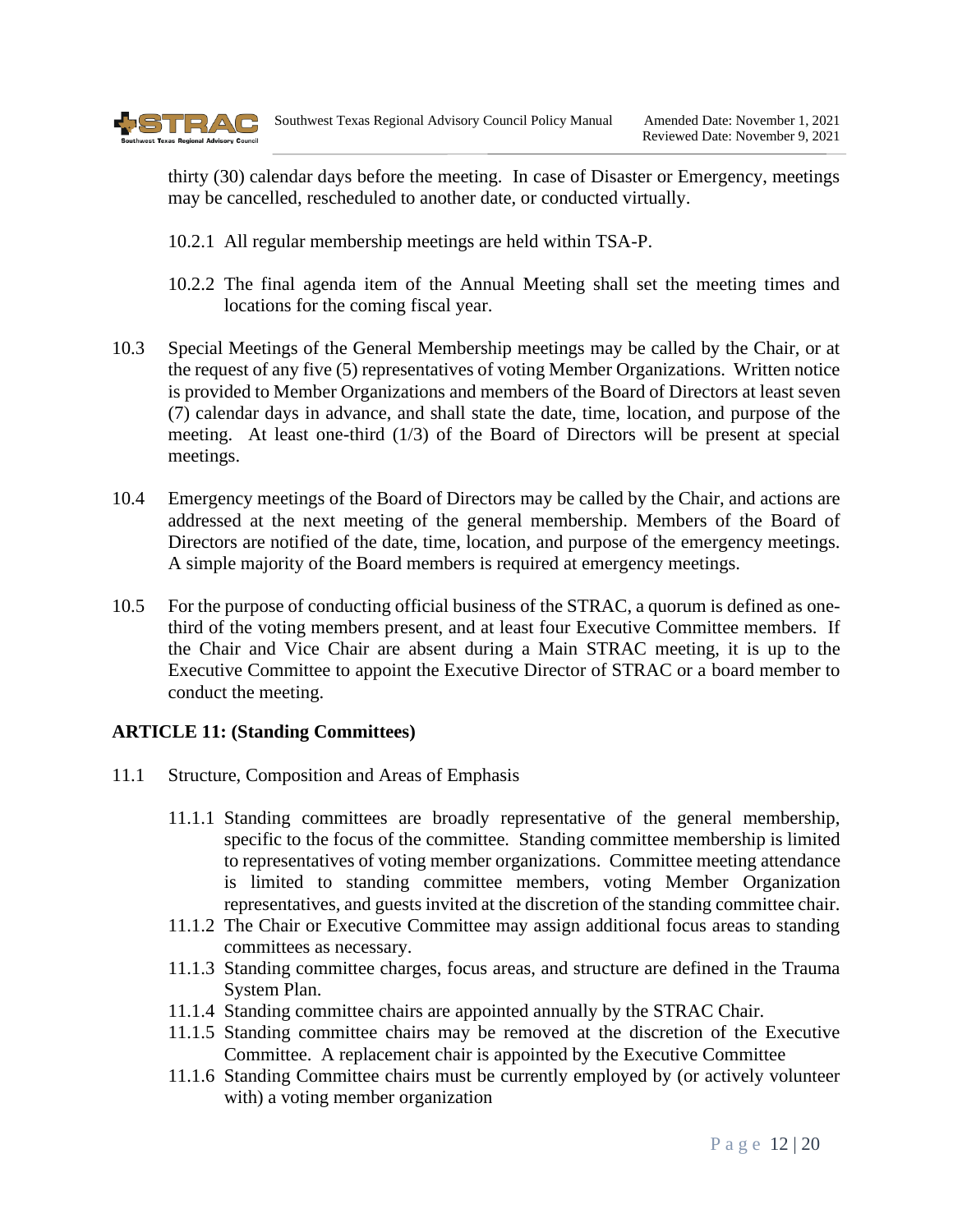

thirty (30) calendar days before the meeting. In case of Disaster or Emergency, meetings may be cancelled, rescheduled to another date, or conducted virtually.

- 10.2.1 All regular membership meetings are held within TSA-P.
- 10.2.2 The final agenda item of the Annual Meeting shall set the meeting times and locations for the coming fiscal year.
- 10.3 Special Meetings of the General Membership meetings may be called by the Chair, or at the request of any five (5) representatives of voting Member Organizations. Written notice is provided to Member Organizations and members of the Board of Directors at least seven (7) calendar days in advance, and shall state the date, time, location, and purpose of the meeting. At least one-third (1/3) of the Board of Directors will be present at special meetings.
- 10.4 Emergency meetings of the Board of Directors may be called by the Chair, and actions are addressed at the next meeting of the general membership. Members of the Board of Directors are notified of the date, time, location, and purpose of the emergency meetings. A simple majority of the Board members is required at emergency meetings.
- 10.5 For the purpose of conducting official business of the STRAC, a quorum is defined as onethird of the voting members present, and at least four Executive Committee members. If the Chair and Vice Chair are absent during a Main STRAC meeting, it is up to the Executive Committee to appoint the Executive Director of STRAC or a board member to conduct the meeting.

## <span id="page-11-0"></span>**ARTICLE 11: (Standing Committees)**

- 11.1 Structure, Composition and Areas of Emphasis
	- 11.1.1 Standing committees are broadly representative of the general membership, specific to the focus of the committee. Standing committee membership is limited to representatives of voting member organizations. Committee meeting attendance is limited to standing committee members, voting Member Organization representatives, and guests invited at the discretion of the standing committee chair.
	- 11.1.2 The Chair or Executive Committee may assign additional focus areas to standing committees as necessary.
	- 11.1.3 Standing committee charges, focus areas, and structure are defined in the Trauma System Plan.
	- 11.1.4 Standing committee chairs are appointed annually by the STRAC Chair.
	- 11.1.5 Standing committee chairs may be removed at the discretion of the Executive Committee. A replacement chair is appointed by the Executive Committee
	- 11.1.6 Standing Committee chairs must be currently employed by (or actively volunteer with) a voting member organization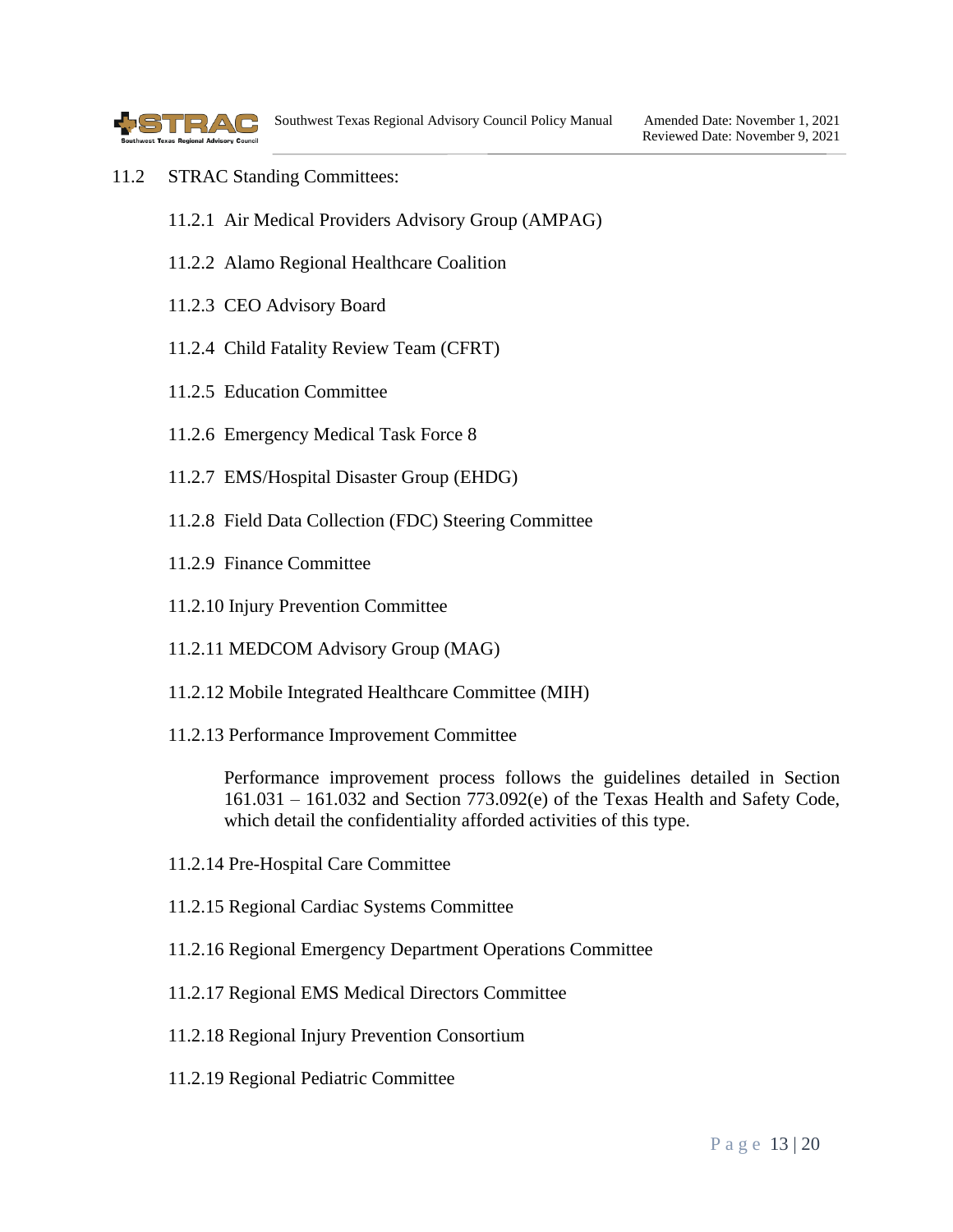

- 11.2 STRAC Standing Committees:
	- 11.2.1 Air Medical Providers Advisory Group (AMPAG)
	- 11.2.2 Alamo Regional Healthcare Coalition
	- 11.2.3 CEO Advisory Board
	- 11.2.4 Child Fatality Review Team (CFRT)
	- 11.2.5 Education Committee
	- 11.2.6 Emergency Medical Task Force 8
	- 11.2.7 EMS/Hospital Disaster Group (EHDG)
	- 11.2.8 Field Data Collection (FDC) Steering Committee
	- 11.2.9 Finance Committee
	- 11.2.10 Injury Prevention Committee
	- 11.2.11 MEDCOM Advisory Group (MAG)
	- 11.2.12 Mobile Integrated Healthcare Committee (MIH)
	- 11.2.13 Performance Improvement Committee

Performance improvement process follows the guidelines detailed in Section 161.031 – 161.032 and Section 773.092(e) of the Texas Health and Safety Code, which detail the confidentiality afforded activities of this type.

- 11.2.14 Pre-Hospital Care Committee
- 11.2.15 Regional Cardiac Systems Committee
- 11.2.16 Regional Emergency Department Operations Committee
- 11.2.17 Regional EMS Medical Directors Committee
- 11.2.18 Regional Injury Prevention Consortium
- 11.2.19 Regional Pediatric Committee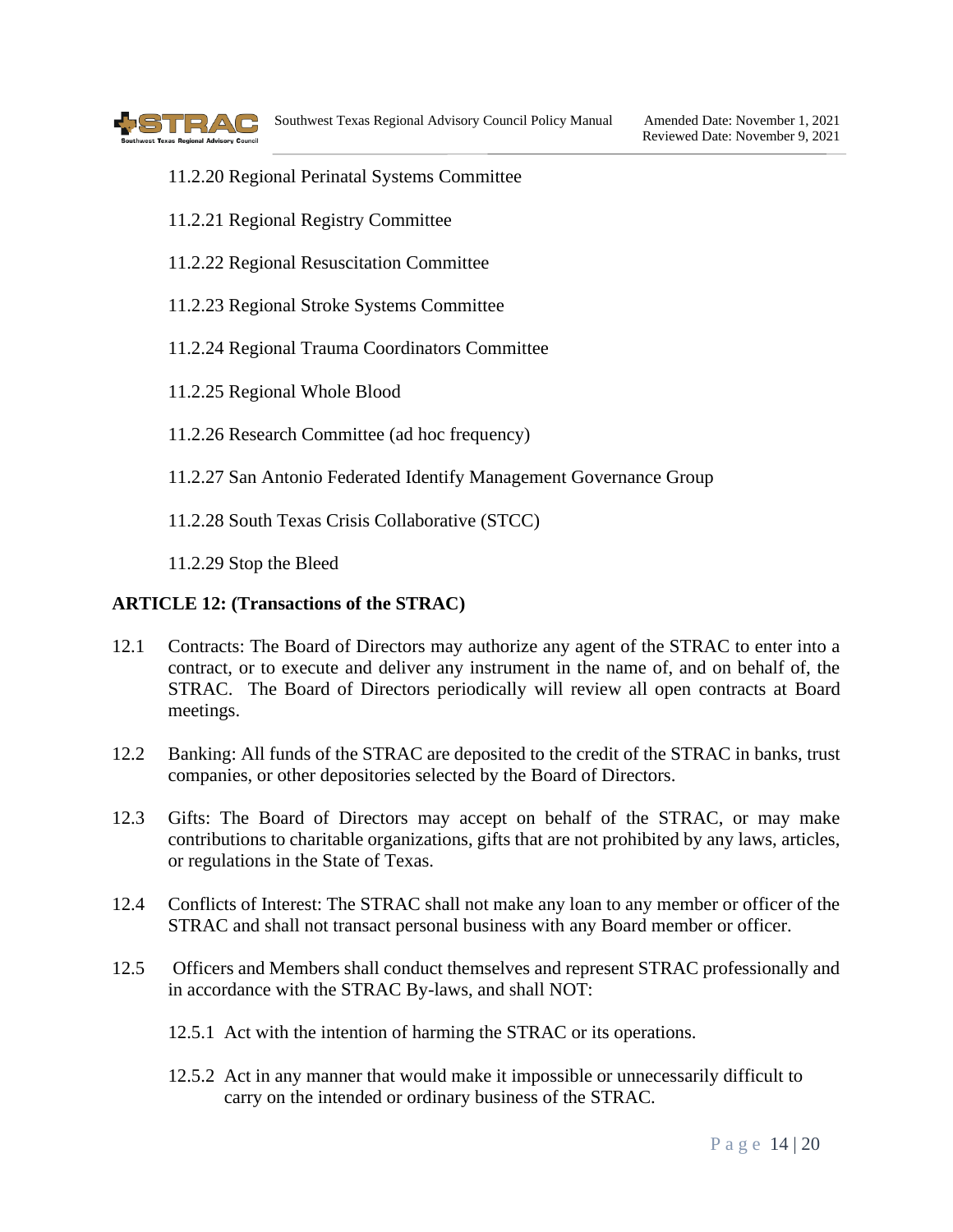

- 11.2.20 Regional Perinatal Systems Committee
- 11.2.21 Regional Registry Committee
- 11.2.22 Regional Resuscitation Committee
- 11.2.23 Regional Stroke Systems Committee
- 11.2.24 Regional Trauma Coordinators Committee
- 11.2.25 Regional Whole Blood
- 11.2.26 Research Committee (ad hoc frequency)
- 11.2.27 San Antonio Federated Identify Management Governance Group
- 11.2.28 South Texas Crisis Collaborative (STCC)

11.2.29 Stop the Bleed

#### <span id="page-13-0"></span>**ARTICLE 12: (Transactions of the STRAC)**

- 12.1 Contracts: The Board of Directors may authorize any agent of the STRAC to enter into a contract, or to execute and deliver any instrument in the name of, and on behalf of, the STRAC. The Board of Directors periodically will review all open contracts at Board meetings.
- 12.2 Banking: All funds of the STRAC are deposited to the credit of the STRAC in banks, trust companies, or other depositories selected by the Board of Directors.
- 12.3 Gifts: The Board of Directors may accept on behalf of the STRAC, or may make contributions to charitable organizations, gifts that are not prohibited by any laws, articles, or regulations in the State of Texas.
- 12.4 Conflicts of Interest: The STRAC shall not make any loan to any member or officer of the STRAC and shall not transact personal business with any Board member or officer.
- 12.5 Officers and Members shall conduct themselves and represent STRAC professionally and in accordance with the STRAC By-laws, and shall NOT:
	- 12.5.1 Act with the intention of harming the STRAC or its operations.
	- 12.5.2 Act in any manner that would make it impossible or unnecessarily difficult to carry on the intended or ordinary business of the STRAC.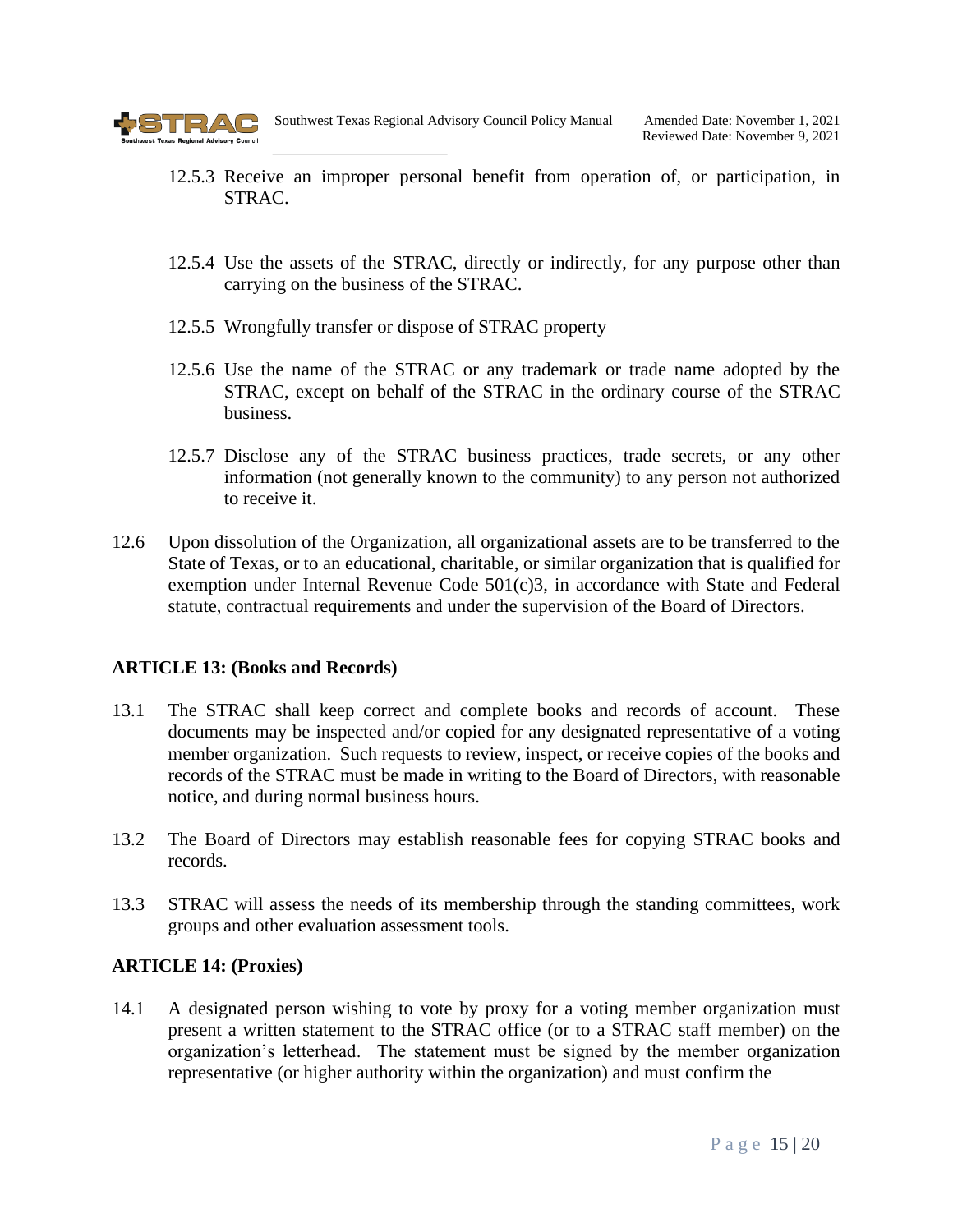

- 12.5.3 Receive an improper personal benefit from operation of, or participation, in STRAC.
- 12.5.4 Use the assets of the STRAC, directly or indirectly, for any purpose other than carrying on the business of the STRAC.
- 12.5.5 Wrongfully transfer or dispose of STRAC property
- 12.5.6 Use the name of the STRAC or any trademark or trade name adopted by the STRAC, except on behalf of the STRAC in the ordinary course of the STRAC business.
- 12.5.7 Disclose any of the STRAC business practices, trade secrets, or any other information (not generally known to the community) to any person not authorized to receive it.
- 12.6 Upon dissolution of the Organization, all organizational assets are to be transferred to the State of Texas, or to an educational, charitable, or similar organization that is qualified for exemption under Internal Revenue Code 501(c)3, in accordance with State and Federal statute, contractual requirements and under the supervision of the Board of Directors.

#### <span id="page-14-0"></span>**ARTICLE 13: (Books and Records)**

- 13.1 The STRAC shall keep correct and complete books and records of account. These documents may be inspected and/or copied for any designated representative of a voting member organization. Such requests to review, inspect, or receive copies of the books and records of the STRAC must be made in writing to the Board of Directors, with reasonable notice, and during normal business hours.
- 13.2 The Board of Directors may establish reasonable fees for copying STRAC books and records.
- 13.3 STRAC will assess the needs of its membership through the standing committees, work groups and other evaluation assessment tools.

#### <span id="page-14-1"></span>**ARTICLE 14: (Proxies)**

14.1 A designated person wishing to vote by proxy for a voting member organization must present a written statement to the STRAC office (or to a STRAC staff member) on the organization's letterhead. The statement must be signed by the member organization representative (or higher authority within the organization) and must confirm the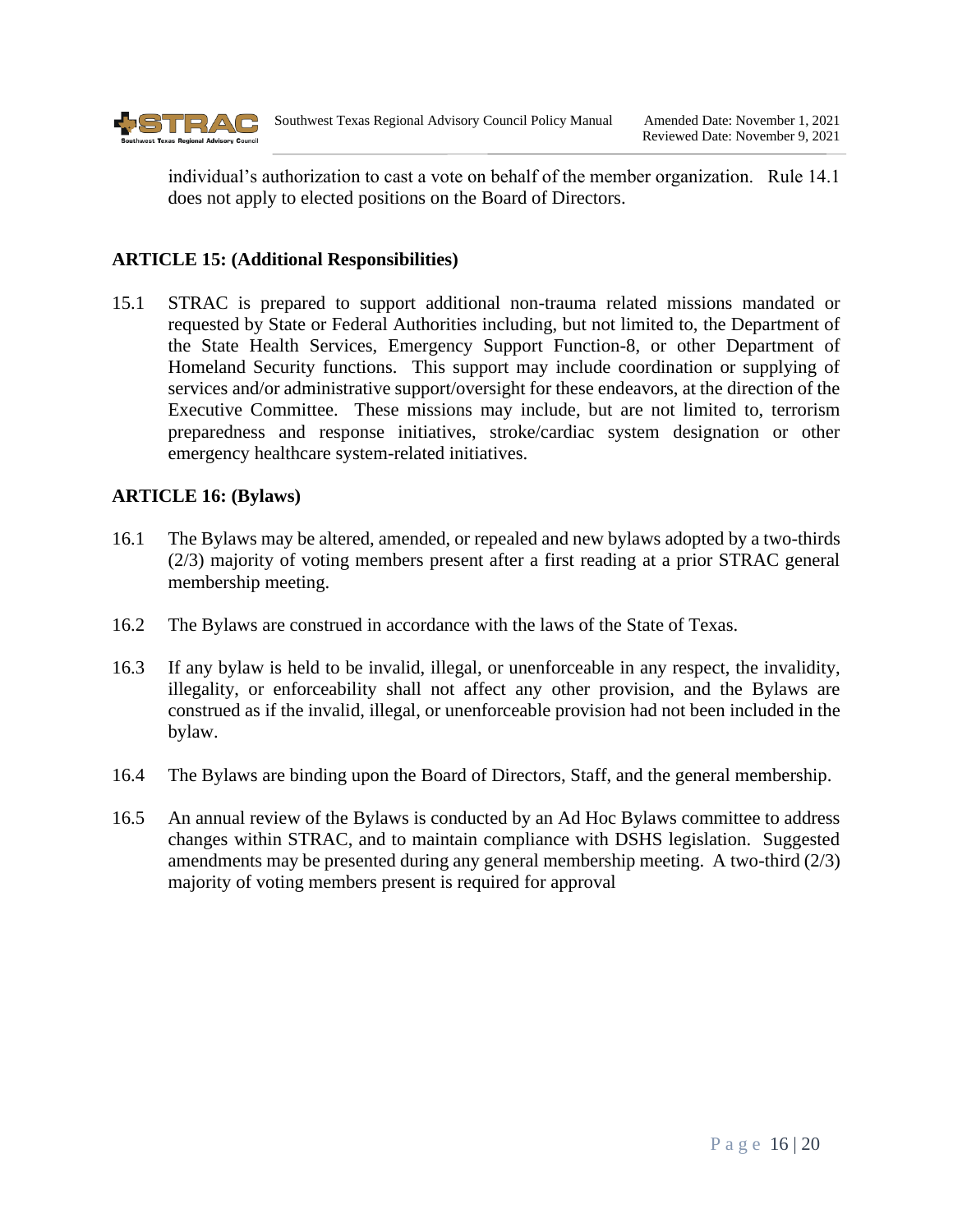

individual's authorization to cast a vote on behalf of the member organization. Rule 14.1 does not apply to elected positions on the Board of Directors.

## **ARTICLE 15: (Additional Responsibilities)**

15.1 STRAC is prepared to support additional non-trauma related missions mandated or requested by State or Federal Authorities including, but not limited to, the Department of the State Health Services, Emergency Support Function-8, or other Department of Homeland Security functions. This support may include coordination or supplying of services and/or administrative support/oversight for these endeavors, at the direction of the Executive Committee. These missions may include, but are not limited to, terrorism preparedness and response initiatives, stroke/cardiac system designation or other emergency healthcare system-related initiatives.

# <span id="page-15-0"></span>**ARTICLE 16: (Bylaws)**

- 16.1 The Bylaws may be altered, amended, or repealed and new bylaws adopted by a two-thirds (2/3) majority of voting members present after a first reading at a prior STRAC general membership meeting.
- 16.2 The Bylaws are construed in accordance with the laws of the State of Texas.
- 16.3 If any bylaw is held to be invalid, illegal, or unenforceable in any respect, the invalidity, illegality, or enforceability shall not affect any other provision, and the Bylaws are construed as if the invalid, illegal, or unenforceable provision had not been included in the bylaw.
- 16.4 The Bylaws are binding upon the Board of Directors, Staff, and the general membership.
- 16.5 An annual review of the Bylaws is conducted by an Ad Hoc Bylaws committee to address changes within STRAC, and to maintain compliance with DSHS legislation. Suggested amendments may be presented during any general membership meeting. A two-third (2/3) majority of voting members present is required for approval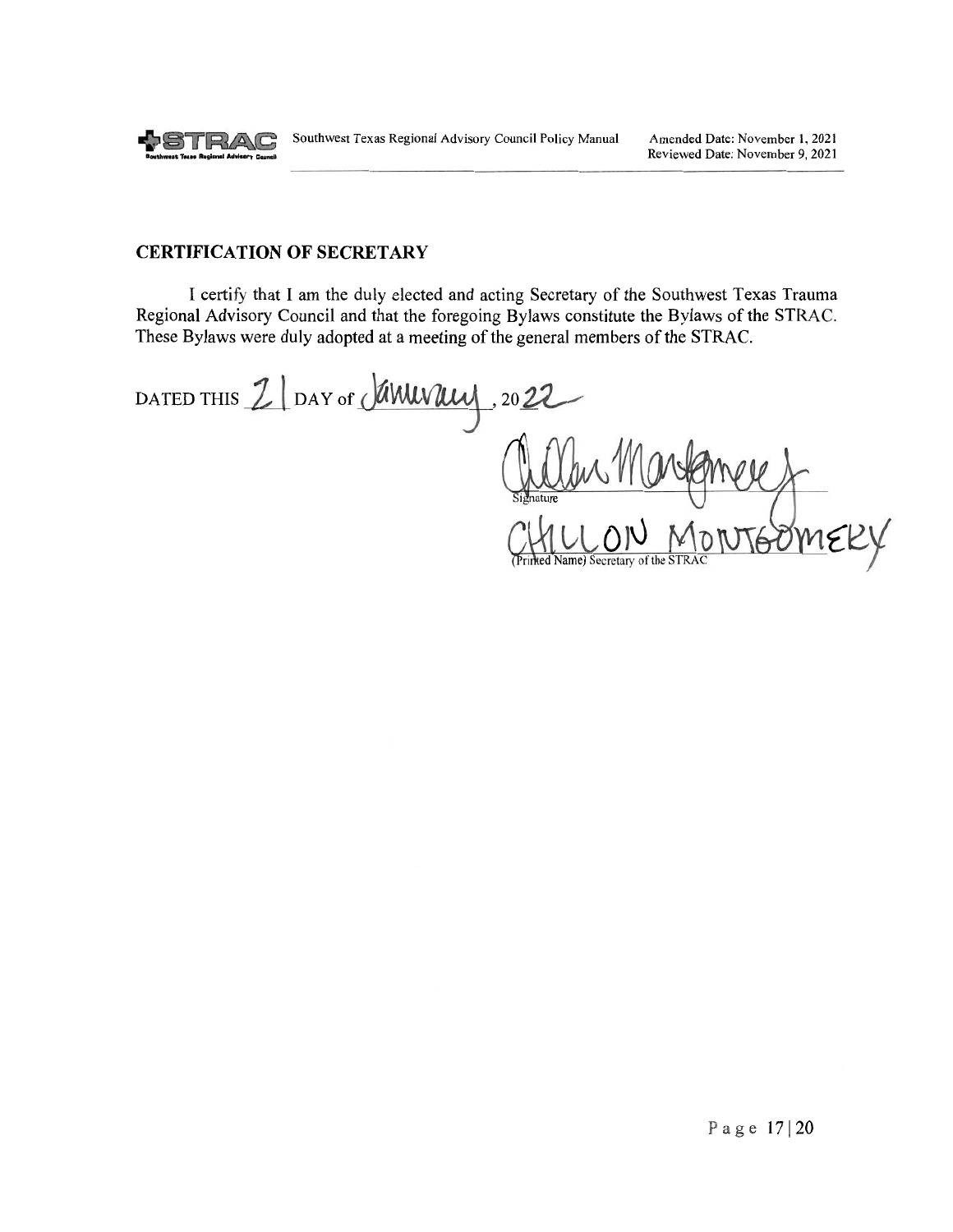

#### **CERTIFICATION OF SECRETARY**

I certify that I am the duly elected and acting Secretary of the Southwest Texas Trauma Regional Advisory Council and that the foregoing Bylaws constitute the Bylaws of the STRAC. These Bylaws were duly adopted at a meeting of the general members of the STRAC.

DATED THIS Z DAY of JAWUVWU  $,2022$ Printed Name) Secretary of the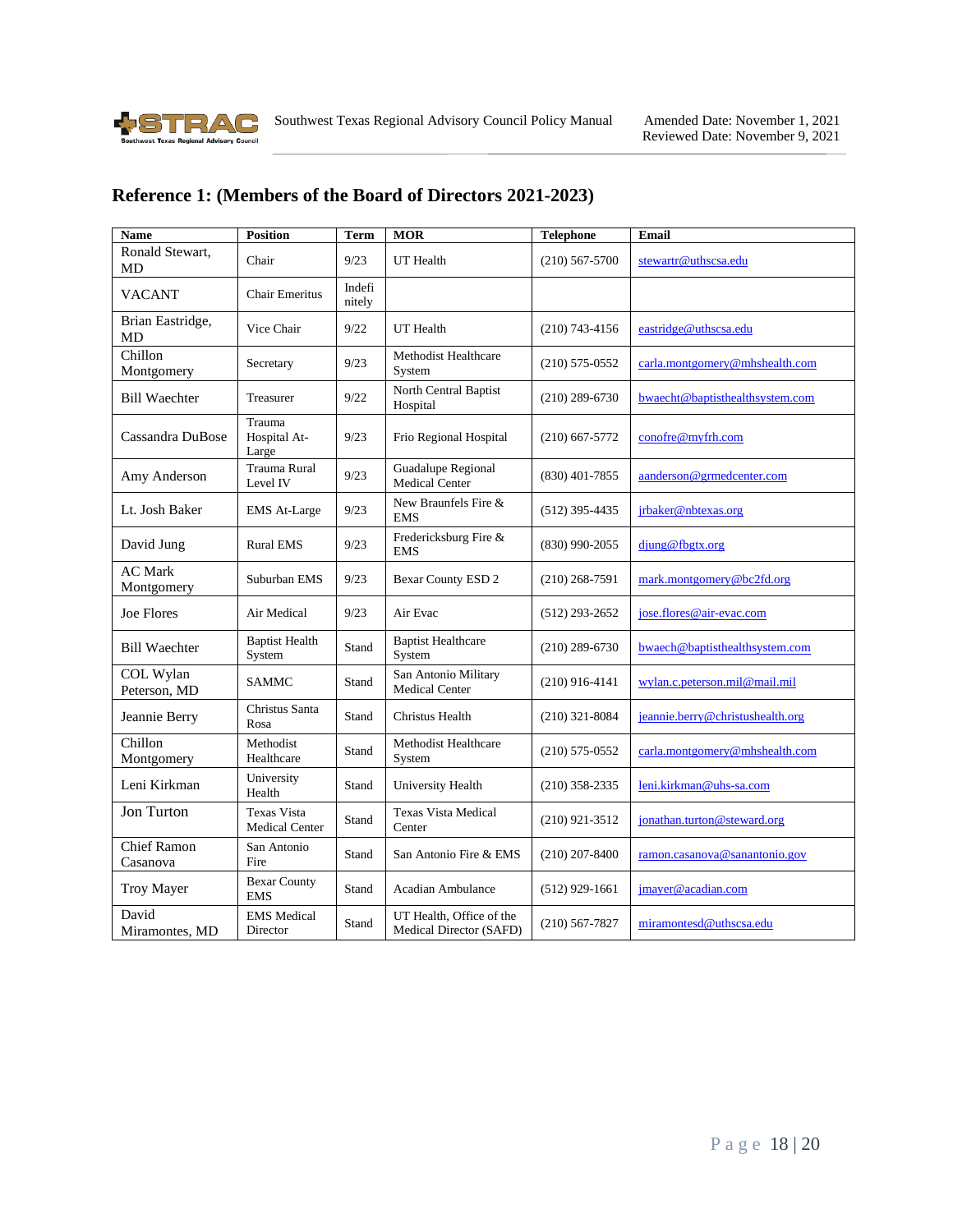<span id="page-17-0"></span>

#### **Reference 1: (Members of the Board of Directors 2021-2023)**

<span id="page-17-1"></span>

| <b>Name</b>                    | <b>Position</b>                             | <b>Term</b>      | <b>MOR</b>                                          | <b>Telephone</b> | <b>Email</b>                     |
|--------------------------------|---------------------------------------------|------------------|-----------------------------------------------------|------------------|----------------------------------|
| Ronald Stewart,<br><b>MD</b>   | Chair                                       | 9/23             | UT Health                                           | $(210)$ 567-5700 | stewartr@uthscsa.edu             |
| <b>VACANT</b>                  | <b>Chair Emeritus</b>                       | Indefi<br>nitely |                                                     |                  |                                  |
| Brian Eastridge,<br>MD         | Vice Chair                                  | 9/22             | UT Health                                           | $(210)$ 743-4156 | eastridge@uthscsa.edu            |
| Chillon<br>Montgomery          | Secretary                                   | 9/23             | Methodist Healthcare<br>System                      | $(210)$ 575-0552 | carla.montgomery@mhshealth.com   |
| <b>Bill Waechter</b>           | Treasurer                                   | 9/22             | North Central Baptist<br>Hospital                   | $(210)$ 289-6730 | bwaecht@baptisthealthsystem.com  |
| Cassandra DuBose               | Trauma<br>Hospital At-<br>Large             | 9/23             | Frio Regional Hospital                              | $(210)$ 667-5772 | conofre@myfrh.com                |
| Amy Anderson                   | Trauma Rural<br>Level IV                    | 9/23             | Guadalupe Regional<br>Medical Center                | $(830)$ 401-7855 | aanderson@grmedcenter.com        |
| Lt. Josh Baker                 | <b>EMS</b> At-Large                         | 9/23             | New Braunfels Fire &<br><b>EMS</b>                  | $(512)$ 395-4435 | jrbaker@nbtexas.org              |
| David Jung                     | <b>Rural EMS</b>                            | 9/23             | Fredericksburg Fire &<br><b>EMS</b>                 | $(830)$ 990-2055 | djung@fbgtx.org                  |
| <b>AC Mark</b><br>Montgomery   | Suburban EMS                                | 9/23             | <b>Bexar County ESD 2</b>                           | $(210)$ 268-7591 | mark.montgomery@bc2fd.org        |
| Joe Flores                     | Air Medical                                 | 9/23             | Air Evac                                            | $(512)$ 293-2652 | jose.flores@air-evac.com         |
| <b>Bill Waechter</b>           | <b>Baptist Health</b><br>System             | Stand            | <b>Baptist Healthcare</b><br>System                 | $(210)$ 289-6730 | bwaech@baptisthealthsystem.com   |
| COL Wylan<br>Peterson, MD      | <b>SAMMC</b>                                | Stand            | San Antonio Military<br><b>Medical Center</b>       | $(210)$ 916-4141 | wylan.c.peterson.mil@mail.mil    |
| Jeannie Berry                  | Christus Santa<br>Rosa                      | Stand            | Christus Health                                     | $(210)$ 321-8084 | jeannie.berry@christushealth.org |
| Chillon<br>Montgomery          | Methodist<br>Healthcare                     | Stand            | Methodist Healthcare<br>System                      | $(210)$ 575-0552 | carla.montgomery@mhshealth.com   |
| Leni Kirkman                   | University<br>Health                        | Stand            | University Health                                   | $(210)$ 358-2335 | leni.kirkman@uhs-sa.com          |
| Jon Turton                     | <b>Texas Vista</b><br><b>Medical Center</b> | Stand            | <b>Texas Vista Medical</b><br>Center                | $(210)$ 921-3512 | jonathan.turton@steward.org      |
| <b>Chief Ramon</b><br>Casanova | San Antonio<br>Fire                         | Stand            | San Antonio Fire & EMS                              | $(210)$ 207-8400 | ramon.casanova@sanantonio.gov    |
| <b>Troy Mayer</b>              | <b>Bexar County</b><br><b>EMS</b>           | Stand            | Acadian Ambulance                                   | $(512)$ 929-1661 | jmayer@acadian.com               |
| David<br>Miramontes, MD        | <b>EMS</b> Medical<br>Director              | Stand            | UT Health, Office of the<br>Medical Director (SAFD) | $(210)$ 567-7827 | miramontesd@uthscsa.edu          |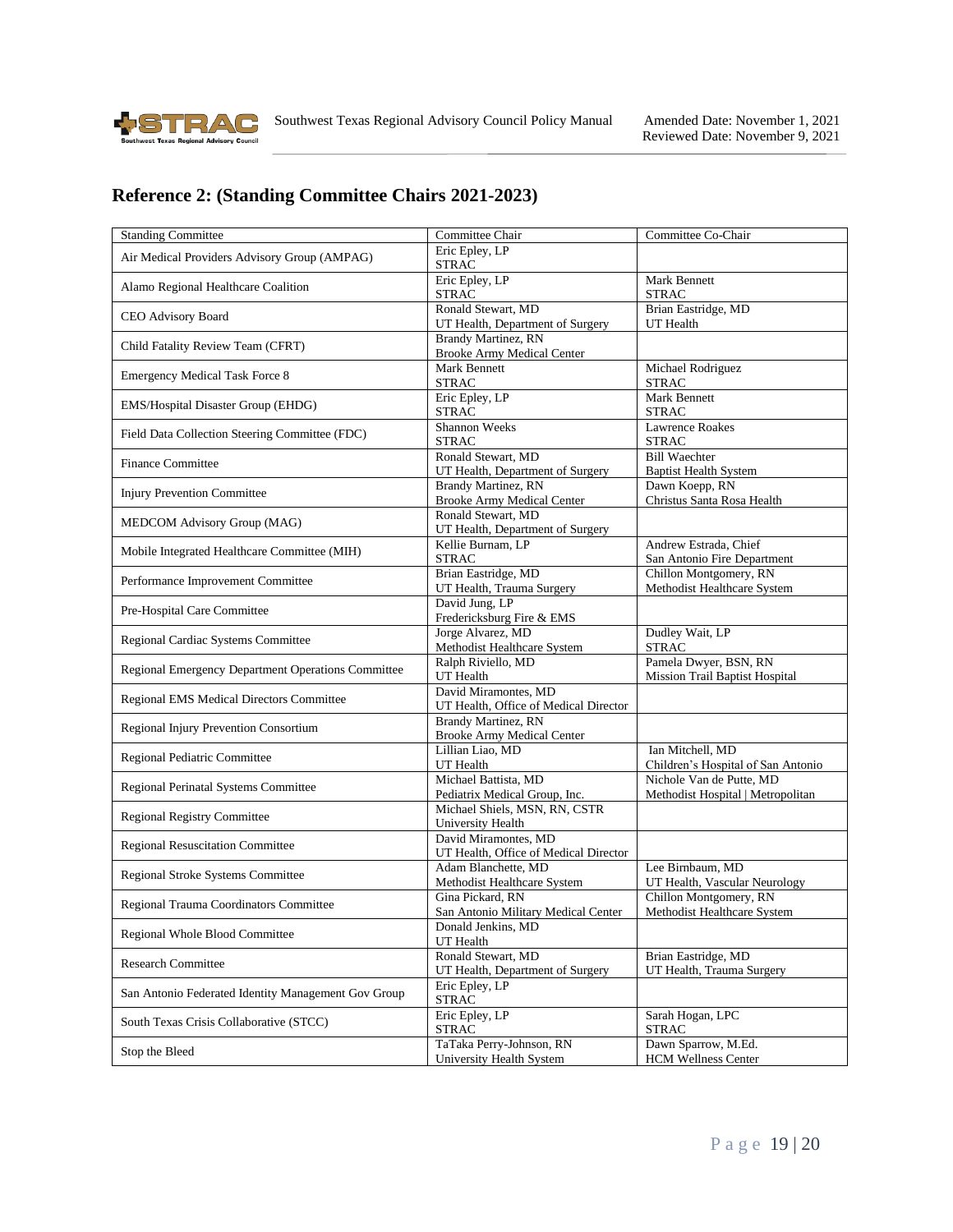

# **Reference 2: (Standing Committee Chairs 2021-2023)**

| <b>Standing Committee</b>                           | Committee Chair                                                  | Committee Co-Chair                                             |
|-----------------------------------------------------|------------------------------------------------------------------|----------------------------------------------------------------|
| Air Medical Providers Advisory Group (AMPAG)        | Eric Epley, LP<br><b>STRAC</b>                                   |                                                                |
| Alamo Regional Healthcare Coalition                 | Eric Epley, LP<br><b>STRAC</b>                                   | Mark Bennett<br><b>STRAC</b>                                   |
| CEO Advisory Board                                  | Ronald Stewart, MD<br>UT Health, Department of Surgery           | Brian Eastridge, MD<br>UT Health                               |
| Child Fatality Review Team (CFRT)                   | <b>Brandy Martinez</b> , RN<br><b>Brooke Army Medical Center</b> |                                                                |
| <b>Emergency Medical Task Force 8</b>               | Mark Bennett<br><b>STRAC</b>                                     | Michael Rodriguez<br><b>STRAC</b>                              |
| EMS/Hospital Disaster Group (EHDG)                  | Eric Epley, LP<br><b>STRAC</b>                                   | Mark Bennett<br><b>STRAC</b>                                   |
| Field Data Collection Steering Committee (FDC)      | <b>Shannon Weeks</b><br><b>STRAC</b>                             | <b>Lawrence Roakes</b><br><b>STRAC</b>                         |
| <b>Finance Committee</b>                            | Ronald Stewart, MD<br>UT Health, Department of Surgery           | <b>Bill Waechter</b><br><b>Baptist Health System</b>           |
| <b>Injury Prevention Committee</b>                  | Brandy Martinez, RN<br><b>Brooke Army Medical Center</b>         | Dawn Koepp, RN<br>Christus Santa Rosa Health                   |
| MEDCOM Advisory Group (MAG)                         | Ronald Stewart, MD<br>UT Health, Department of Surgery           |                                                                |
| Mobile Integrated Healthcare Committee (MIH)        | Kellie Burnam, LP<br><b>STRAC</b>                                | Andrew Estrada, Chief<br>San Antonio Fire Department           |
| Performance Improvement Committee                   | Brian Eastridge, MD<br>UT Health, Trauma Surgery                 | Chillon Montgomery, RN<br>Methodist Healthcare System          |
| Pre-Hospital Care Committee                         | David Jung, LP<br>Fredericksburg Fire & EMS                      |                                                                |
| Regional Cardiac Systems Committee                  | Jorge Alvarez, MD<br>Methodist Healthcare System                 | Dudley Wait, LP<br><b>STRAC</b>                                |
| Regional Emergency Department Operations Committee  | Ralph Riviello, MD<br>UT Health                                  | Pamela Dwyer, BSN, RN<br><b>Mission Trail Baptist Hospital</b> |
| Regional EMS Medical Directors Committee            | David Miramontes, MD<br>UT Health, Office of Medical Director    |                                                                |
| Regional Injury Prevention Consortium               | <b>Brandy Martinez, RN</b><br><b>Brooke Army Medical Center</b>  |                                                                |
| Regional Pediatric Committee                        | Lillian Liao, MD<br>UT Health                                    | Ian Mitchell, MD<br>Children's Hospital of San Antonio         |
| Regional Perinatal Systems Committee                | Michael Battista, MD<br>Pediatrix Medical Group, Inc.            | Nichole Van de Putte, MD<br>Methodist Hospital   Metropolitan  |
| <b>Regional Registry Committee</b>                  | Michael Shiels, MSN, RN, CSTR<br>University Health               |                                                                |
| Regional Resuscitation Committee                    | David Miramontes, MD<br>UT Health, Office of Medical Director    |                                                                |
| Regional Stroke Systems Committee                   | Adam Blanchette, MD<br>Methodist Healthcare System               | Lee Birnbaum, MD<br>UT Health, Vascular Neurology              |
| Regional Trauma Coordinators Committee              | Gina Pickard, RN<br>San Antonio Military Medical Center          | Chillon Montgomery, RN<br>Methodist Healthcare System          |
| Regional Whole Blood Committee                      | Donald Jenkins, MD<br>UT Health                                  |                                                                |
| Research Committee                                  | Ronald Stewart, MD<br>UT Health, Department of Surgery           | Brian Eastridge, MD<br>UT Health, Trauma Surgery               |
| San Antonio Federated Identity Management Gov Group | Eric Epley, LP<br><b>STRAC</b>                                   |                                                                |
| South Texas Crisis Collaborative (STCC)             | Eric Epley, LP<br><b>STRAC</b>                                   | Sarah Hogan, LPC<br><b>STRAC</b>                               |
| Stop the Bleed                                      | TaTaka Perry-Johnson, RN<br>University Health System             | Dawn Sparrow, M.Ed.<br><b>HCM Wellness Center</b>              |